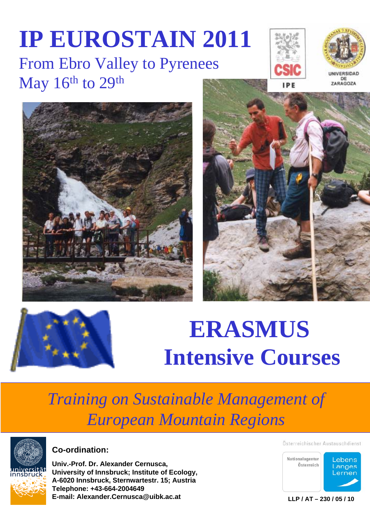## **IP EUROSTAIN 2011** From Ebro Valley to Pyrenees May 16<sup>th</sup> to 29<sup>th</sup>











# $ERASMUS$ **Intensive Courses**

## **Training on Sustainable Management of** *European Mountain Regions*



**Co-ordination:**

**Univ.-Prof. Dr. Alexander Cernusca, University of Innsbruck; Institute of Ecology, A-6020 Innsbruck, Sternwartestr. 15; Austria Telephone: +43-664-2004649 E-mail: Alexander.Cernusca@uibk.ac.at**

Österreichischer Austauschdienst



**LLP / AT – 230 / 05 / 10**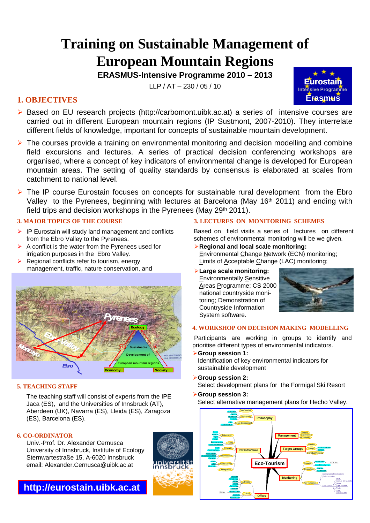### **Training on Sustainable Management of European Mountain Regions**

**ERASMUS-Intensive Programme 2010 – 2013**

 $ILP / AT - 230 / 05 / 10$ 

#### **1. OBJECTIVES**

- ¾ Based on EU research projects (http://carbomont.uibk.ac.at) a series of intensive courses are carried out in different European mountain regions (IP Sustmont, 2007-2010). They interrelate different fields of knowledge, important for concepts of sustainable mountain development.
- $\triangleright$  The courses provide a training on environmental monitoring and decision modelling and combine field excursions and lectures. A series of practical decision conferencing workshops are organised, where a concept of key indicators of environmental change is developed for European mountain areas. The setting of quality standards by consensus is elaborated at scales from catchment to national level.
- $\triangleright$  The IP course Eurostain focuses on concepts for sustainable rural development from the Ebro Valley to the Pyrenees, beginning with lectures at Barcelona (May 16<sup>th</sup> 2011) and ending with field trips and decision workshops in the Pyrenees (May 29th 2011).

#### **2. MAJOR TOPICS OF THE COURSE**

- $\triangleright$  IP Eurostain will study land management and conflicts from the Ebro Valley to the Pyrenees.
- $\triangleright$  A conflict is the water from the Pyrenees used for irrigation purposes in the Ebro Valley.
- $\triangleright$  Regional conflicts refer to tourism, energy management, traffic, nature conservation, and



#### **5. TEACHING STAFF**

The teaching staff will consist of experts from the IPE Jaca (ES), and the Universities of Innsbruck (AT), Aberdeen (UK), Navarra (ES), Lleida (ES), Zaragoza (ES), Barcelona (ES).

#### **6. CO-ORDINATOR**

Univ.-Prof. Dr. Alexander Cernusca University of Innsbruck, Institute of Ecology Sternwartestraße 15, A-6020 Innsbruck email: Alexander.Cernusca@uibk.ac.at



#### **3. LECTURES ON MONITORING SCHEMES**

Based on field visits a series of lectures on different schemes of environmental monitoring will be we given.

- ¾**Regional and local scale monitoring:** Environmental Change Network (ECN) monitoring; Limits of Acceptable Change (LAC) monitoring;
- ¾**Large scale monitoring:**  Environmentally Sensitive Areas Programme; CS 2000 national countryside monitoring; Demonstration of Countryside Information System software.



**Eurostain**

**Erasmus Intensive Programme**

#### **4. WORKSHOP ON DECISION MAKING MODELLING**

Participants are working in groups to identify and prioritise different types of environmental indicators.

- ¾**Group session 1:** Identification of key environmental indicators for sustainable development
- ¾**Group session 2:** Select development plans for the Formigal Ski Resort
- ¾**Group session 3:** Select alternative management plans for Hecho Valley.

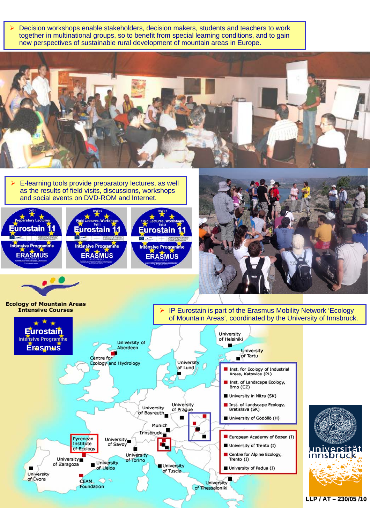¾ Decision workshops enable stakeholders, decision makers, students and teachers to work together in multinational groups, so to benefit from special learning conditions, and to gain new perspectives of sustainable rural development of mountain areas in Europe. E-learning tools provide preparatory lectures, as well as the results of field visits, discussions, workshops and social events on DVD-ROM and Internet. **Eurostain** Eurostain ırostair Intensive Programme Intensive Programme Intensive Programme **ERASMUS ERASMUS ERASMUS Ecology of Mountain Areas Intensive Courses** IP Eurostain is part of the Erasmus Mobility Network 'Ecology of Mountain Areas', coordinated by the University of Innsbruck. **Eurostain** University **Intensive Programme** of Helsiniki University of **Erasmus** Aberdeen University of Tartu Centre for University Ecology and Hydrology of Lund Inst. for Ecology of Industrial<br>Areas, Katowice (PL) Inst. of Landscape Ecology, Brno (CZ) University in Nitra (SK) University Inst. of Landscape Ecology, University of Prague Bratislava (SK) of Bayreuth University of Gödöllö (H) Munich Innsbruck European Academy of Bozen (I) Pyrenean University Institute of Savoy University of Trento (I) of Ecology Centre for Alpine Ecology, University ınnsbr University<sub>1</sub> of Torino Trento (I) University of Zaragoza University of Lleida University of Padua (I) . of Tuscia University of Évora **CEAM** o۱ University Foundation of Thessaloniki **LLP / AT LLP / – 230/05 /10**